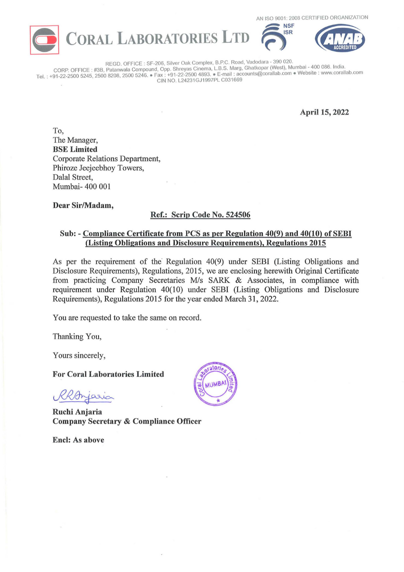



AN ISO 9001: 2008 CERTIFIED ORGANIZATION **RESERVED ORGANIZATION** 

REGO. OFFICE: SF-206, Silver Oak Complex, B.P.C. Road, Vadodara - 390 020. . . CORP OFFICE : #3B. Patanwala Compound, Opp. Shreyas Cinema, L.B.S. Marg, Ghatkopar (West), Mumbai - 400 086. India. : +91-22-2500 5245, 2500 8208, 2500 5246. •Fax: +91-22-2500 4893. •E-mail : accounts@corallab.com •Website: www.corallab.com Tel. CIN NO. L24231GJ1997PL C031669

**April 15, 2022** 

**To,**  The Manager, **BSE Limited**  Corporate Relations Department, Phiroze Jeejeebhoy Towers, Dalal Street, Mumbai- 400 001

**Dear Sir/Madam,** 

## **Ref.: Scrip Code No. 524506**

## **Sub:** - **Compliance Certificate from PCS as per Regulation 40(9) and 40(10) of SEBI (Listing Obligations and Disclosure Requirements), Regulations 2015**

As per the requirement of the Regulation 40(9) under SEBI (Listing Obligations and Disclosure Requirements), Regulations, 2015, we are enclosing herewith Original Certificate from practicing Company Secretaries M/s SARK & Associates, in compliance with requirement under Regulation 40(10) under SEBI (Listing Obligations and Disclosure Requirements), Regulations 2015 for the year ended March 31, 2022.

You are requested to take the same on record.

Thanking You,

Yours sincerely,

**For Coral Laboratories Limited** 

Rhonjaria

**Ruchi Anjaria Company Secretary** & **Compliance Officer** 

**Encl: As above**